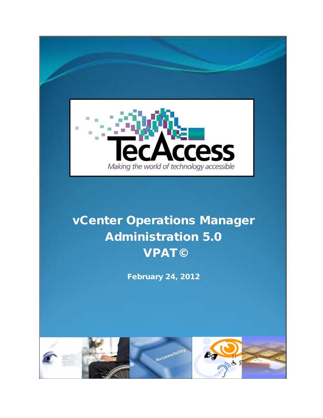

# Administration 5.0 VPAT©

February 24, 2012

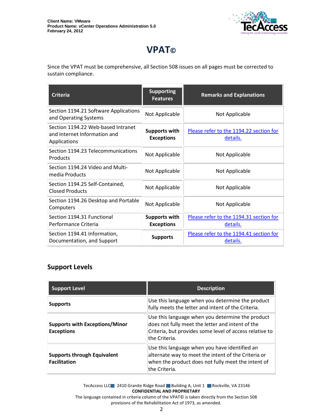

# **VPAT©**

Since the VPAT must be comprehensive, all Section 508 issues on all pages must be corrected to sustain compliance.

| <b>Criteria</b>                                                                    | <b>Supporting</b><br><b>Features</b>      | <b>Remarks and Explanations</b>                     |
|------------------------------------------------------------------------------------|-------------------------------------------|-----------------------------------------------------|
| Section 1194.21 Software Applications<br>and Operating Systems                     | Not Applicable                            | Not Applicable                                      |
| Section 1194.22 Web-based Intranet<br>and Internet Information and<br>Applications | <b>Supports with</b><br><b>Exceptions</b> | Please refer to the 1194.22 section for<br>details. |
| Section 1194.23 Telecommunications<br>Products                                     | Not Applicable                            | Not Applicable                                      |
| Section 1194.24 Video and Multi-<br>media Products                                 | Not Applicable                            | Not Applicable                                      |
| Section 1194.25 Self-Contained,<br><b>Closed Products</b>                          | Not Applicable                            | Not Applicable                                      |
| Section 1194.26 Desktop and Portable<br>Computers                                  | Not Applicable                            | Not Applicable                                      |
| Section 1194.31 Functional<br>Performance Criteria                                 | <b>Supports with</b><br><b>Exceptions</b> | Please refer to the 1194.31 section for<br>details. |
| Section 1194.41 Information,<br>Documentation, and Support                         | <b>Supports</b>                           | Please refer to the 1194.41 section for<br>details. |

#### **Support Levels**

| <b>Support Level</b>                                       | <b>Description</b>                                                                                                                                                               |
|------------------------------------------------------------|----------------------------------------------------------------------------------------------------------------------------------------------------------------------------------|
| <b>Supports</b>                                            | Use this language when you determine the product<br>fully meets the letter and intent of the Criteria.                                                                           |
| <b>Supports with Exceptions/Minor</b><br><b>Exceptions</b> | Use this language when you determine the product<br>does not fully meet the letter and intent of the<br>Criteria, but provides some level of access relative to<br>the Criteria. |
| <b>Supports through Equivalent</b><br><b>Facilitation</b>  | Use this language when you have identified an<br>alternate way to meet the intent of the Criteria or<br>when the product does not fully meet the intent of<br>the Criteria.      |

TecAccess LLC 2410 Granite Ridge Road Building A, Unit 1 Rockville, VA 23146 **CONFIDENTIAL AND PROPRIETARY**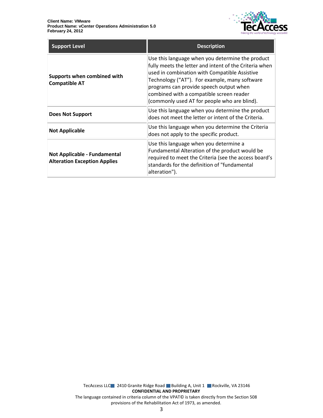

| <b>Support Level</b>                                                | <b>Description</b>                                                                                                                                                                                                                                                                                                                                  |
|---------------------------------------------------------------------|-----------------------------------------------------------------------------------------------------------------------------------------------------------------------------------------------------------------------------------------------------------------------------------------------------------------------------------------------------|
| Supports when combined with<br><b>Compatible AT</b>                 | Use this language when you determine the product<br>fully meets the letter and intent of the Criteria when<br>used in combination with Compatible Assistive<br>Technology ("AT"). For example, many software<br>programs can provide speech output when<br>combined with a compatible screen reader<br>(commonly used AT for people who are blind). |
| Does Not Support                                                    | Use this language when you determine the product<br>does not meet the letter or intent of the Criteria.                                                                                                                                                                                                                                             |
| <b>Not Applicable</b>                                               | Use this language when you determine the Criteria<br>does not apply to the specific product.                                                                                                                                                                                                                                                        |
| Not Applicable - Fundamental<br><b>Alteration Exception Applies</b> | Use this language when you determine a<br>Fundamental Alteration of the product would be<br>required to meet the Criteria (see the access board's<br>standards for the definition of "fundamental<br>alteration").                                                                                                                                  |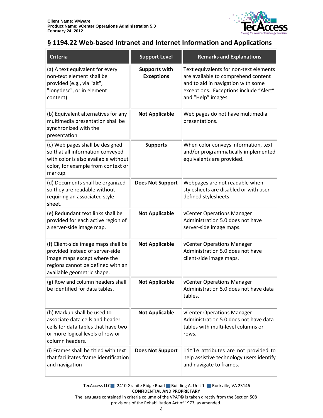

#### <span id="page-3-0"></span>**§ 1194.22 Web-based Intranet and Internet Information and Applications**

| Criteria                                                                                                                                                                 | <b>Support Level</b>                      | <b>Remarks and Explanations</b>                                                                                                                                                     |
|--------------------------------------------------------------------------------------------------------------------------------------------------------------------------|-------------------------------------------|-------------------------------------------------------------------------------------------------------------------------------------------------------------------------------------|
| (a) A text equivalent for every<br>non-text element shall be<br>provided (e.g., via "alt",<br>"longdesc", or in element<br>content).                                     | <b>Supports with</b><br><b>Exceptions</b> | Text equivalents for non-text elements<br>are available to comprehend content<br>and to aid in navigation with some<br>exceptions. Exceptions include "Alert"<br>and "Help" images. |
| (b) Equivalent alternatives for any<br>multimedia presentation shall be<br>synchronized with the<br>presentation.                                                        | <b>Not Applicable</b>                     | Web pages do not have multimedia<br>presentations.                                                                                                                                  |
| (c) Web pages shall be designed<br>so that all information conveyed<br>with color is also available without<br>color, for example from context or<br>markup.             | <b>Supports</b>                           | When color conveys information, text<br>and/or programmatically implemented<br>equivalents are provided.                                                                            |
| (d) Documents shall be organized<br>so they are readable without<br>requiring an associated style<br>sheet.                                                              | <b>Does Not Support</b>                   | Webpages are not readable when<br>stylesheets are disabled or with user-<br>defined stylesheets.                                                                                    |
| (e) Redundant text links shall be<br>provided for each active region of<br>a server-side image map.                                                                      | <b>Not Applicable</b>                     | vCenter Operations Manager<br>Administration 5.0 does not have<br>server-side image maps.                                                                                           |
| (f) Client-side image maps shall be<br>provided instead of server-side<br>image maps except where the<br>regions cannot be defined with an<br>available geometric shape. | <b>Not Applicable</b>                     | vCenter Operations Manager<br>Administration 5.0 does not have<br>client-side image maps.                                                                                           |
| (g) Row and column headers shall<br>be identified for data tables.                                                                                                       | <b>Not Applicable</b>                     | vCenter Operations Manager<br>Administration 5.0 does not have data<br>tables.                                                                                                      |
| (h) Markup shall be used to<br>associate data cells and header<br>cells for data tables that have two<br>or more logical levels of row or<br>column headers.             | <b>Not Applicable</b>                     | vCenter Operations Manager<br>Administration 5.0 does not have data<br>tables with multi-level columns or<br>rows.                                                                  |
| (i) Frames shall be titled with text<br>that facilitates frame identification<br>and navigation                                                                          | <b>Does Not Support</b>                   | Title attributes are not provided to<br>help assistive technology users identify<br>and navigate to frames.                                                                         |

TecAccess LLC 2410 Granite Ridge Road Building A, Unit 1 Rockville, VA 23146 **CONFIDENTIAL AND PROPRIETARY**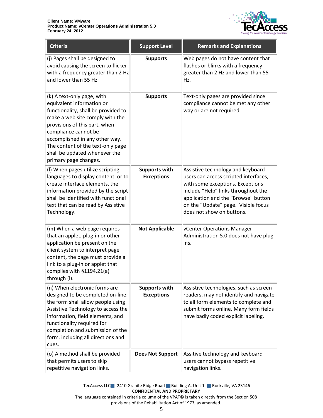

| Criteria                                                                                                                                                                                                                                                                                                                    | <b>Support Level</b>                      | <b>Remarks and Explanations</b>                                                                                                                                                                                                                                  |
|-----------------------------------------------------------------------------------------------------------------------------------------------------------------------------------------------------------------------------------------------------------------------------------------------------------------------------|-------------------------------------------|------------------------------------------------------------------------------------------------------------------------------------------------------------------------------------------------------------------------------------------------------------------|
| (j) Pages shall be designed to<br>avoid causing the screen to flicker<br>with a frequency greater than 2 Hz<br>and lower than 55 Hz.                                                                                                                                                                                        | <b>Supports</b>                           | Web pages do not have content that<br>flashes or blinks with a frequency<br>greater than 2 Hz and lower than 55<br>Hz.                                                                                                                                           |
| (k) A text-only page, with<br>equivalent information or<br>functionality, shall be provided to<br>make a web site comply with the<br>provisions of this part, when<br>compliance cannot be<br>accomplished in any other way.<br>The content of the text-only page<br>shall be updated whenever the<br>primary page changes. | <b>Supports</b>                           | Text-only pages are provided since<br>compliance cannot be met any other<br>way or are not required.                                                                                                                                                             |
| (I) When pages utilize scripting<br>languages to display content, or to<br>create interface elements, the<br>information provided by the script<br>shall be identified with functional<br>text that can be read by Assistive<br>Technology.                                                                                 | <b>Supports with</b><br><b>Exceptions</b> | Assistive technology and keyboard<br>users can access scripted interfaces,<br>with some exceptions. Exceptions<br>include "Help" links throughout the<br>application and the "Browse" button<br>on the "Update" page. Visible focus<br>does not show on buttons. |
| (m) When a web page requires<br>that an applet, plug-in or other<br>application be present on the<br>client system to interpret page<br>content, the page must provide a<br>link to a plug-in or applet that<br>complies with §1194.21(a)<br>through (I).                                                                   | <b>Not Applicable</b>                     | vCenter Operations Manager<br>Administration 5.0 does not have plug-<br>ins.                                                                                                                                                                                     |
| (n) When electronic forms are<br>designed to be completed on-line,<br>the form shall allow people using<br>Assistive Technology to access the<br>information, field elements, and<br>functionality required for<br>completion and submission of the<br>form, including all directions and<br>cues.                          | <b>Supports with</b><br><b>Exceptions</b> | Assistive technologies, such as screen<br>readers, may not identify and navigate<br>to all form elements to complete and<br>submit forms online. Many form fields<br>have badly coded explicit labeling.                                                         |
| (o) A method shall be provided<br>that permits users to skip<br>repetitive navigation links.                                                                                                                                                                                                                                | <b>Does Not Support</b>                   | Assitive technology and keyboard<br>users cannot bypass repetitive<br>navigation links.                                                                                                                                                                          |

TecAccess LLC 2410 Granite Ridge Road Building A, Unit 1 Rockville, VA 23146 **CONFIDENTIAL AND PROPRIETARY**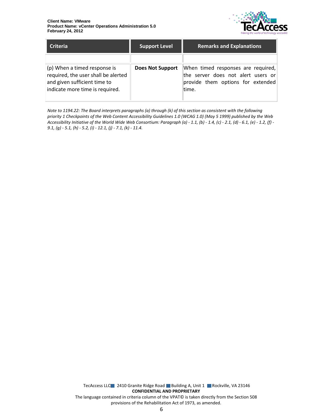

| <b>Criteria</b>                                                                                     | <b>Support Level</b>    | <b>Remarks and Explanations</b>                                                                               |
|-----------------------------------------------------------------------------------------------------|-------------------------|---------------------------------------------------------------------------------------------------------------|
| (p) When a timed response is<br>required, the user shall be alerted<br>and given sufficient time to | <b>Does Not Support</b> | When timed responses are required,<br>the server does not alert users or<br>provide them options for extended |
| indicate more time is required.                                                                     |                         | ltime.                                                                                                        |

*Note to 1194.22: The Board interprets paragraphs (a) through (k) of this section as consistent with the following priority 1 Checkpoints of the Web Content Accessibility Guidelines 1.0 (WCAG 1.0) (May 5 1999) published by the Web Accessibility Initiative of the World Wide Web Consortium: Paragraph (a) - 1.1, (b) - 1.4, (c) - 2.1, (d) - 6.1, (e) - 1.2, (f) - 9.1, (g) - 5.1, (h) - 5.2, (i) - 12.1, (j) - 7.1, (k) - 11.4.*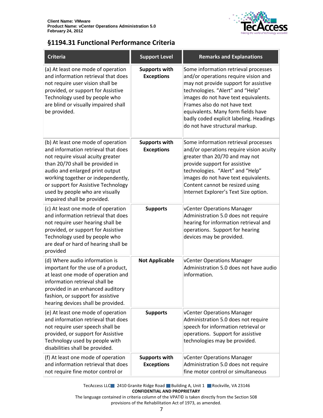

## <span id="page-6-0"></span>**§1194.31 Functional Performance Criteria**

| <b>Criteria</b>                                                                                                                                                                                                                                                                                                                     | <b>Support Level</b>                      | <b>Remarks and Explanations</b>                                                                                                                                                                                                                                                                                                                      |
|-------------------------------------------------------------------------------------------------------------------------------------------------------------------------------------------------------------------------------------------------------------------------------------------------------------------------------------|-------------------------------------------|------------------------------------------------------------------------------------------------------------------------------------------------------------------------------------------------------------------------------------------------------------------------------------------------------------------------------------------------------|
| (a) At least one mode of operation<br>and information retrieval that does<br>not require user vision shall be<br>provided, or support for Assistive<br>Technology used by people who<br>are blind or visually impaired shall<br>be provided.                                                                                        | <b>Supports with</b><br><b>Exceptions</b> | Some information retrieval processes<br>and/or operations require vision and<br>may not provide support for assistive<br>technologies. "Alert" and "Help"<br>images do not have text equivalents.<br>Frames also do not have text<br>equivalents. Many form fields have<br>badly coded explicit labeling. Headings<br>do not have structural markup. |
| (b) At least one mode of operation<br>and information retrieval that does<br>not require visual acuity greater<br>than 20/70 shall be provided in<br>audio and enlarged print output<br>working together or independently,<br>or support for Assistive Technology<br>used by people who are visually<br>impaired shall be provided. | <b>Supports with</b><br><b>Exceptions</b> | Some information retrieval processes<br>and/or operations require vision acuity<br>greater than 20/70 and may not<br>provide support for assistive<br>technologies. "Alert" and "Help"<br>images do not have text equivalents.<br>Content cannot be resized using<br>Internet Explorer's Text Size option.                                           |
| (c) At least one mode of operation<br>and information retrieval that does<br>not require user hearing shall be<br>provided, or support for Assistive<br>Technology used by people who<br>are deaf or hard of hearing shall be<br>provided                                                                                           | <b>Supports</b>                           | vCenter Operations Manager<br>Administration 5.0 does not require<br>hearing for information retrieval and<br>operations. Support for hearing<br>devices may be provided.                                                                                                                                                                            |
| (d) Where audio information is<br>important for the use of a product,<br>at least one mode of operation and<br>information retrieval shall be<br>provided in an enhanced auditory<br>fashion, or support for assistive<br>hearing devices shall be provided.                                                                        | <b>Not Applicable</b>                     | vCenter Operations Manager<br>Administration 5.0 does not have audio<br>information.                                                                                                                                                                                                                                                                 |
| (e) At least one mode of operation<br>and information retrieval that does<br>not require user speech shall be<br>provided, or support for Assistive<br>Technology used by people with<br>disabilities shall be provided.                                                                                                            | <b>Supports</b>                           | vCenter Operations Manager<br>Administration 5.0 does not require<br>speech for information retrieval or<br>operations. Support for assistive<br>technologies may be provided.                                                                                                                                                                       |
| (f) At least one mode of operation<br>and information retrieval that does<br>not require fine motor control or                                                                                                                                                                                                                      | <b>Supports with</b><br><b>Exceptions</b> | vCenter Operations Manager<br>Administration 5.0 does not require<br>fine motor control or simultaneous                                                                                                                                                                                                                                              |

TecAccess LLC 2410 Granite Ridge Road Building A, Unit 1 Rockville, VA 23146 **CONFIDENTIAL AND PROPRIETARY**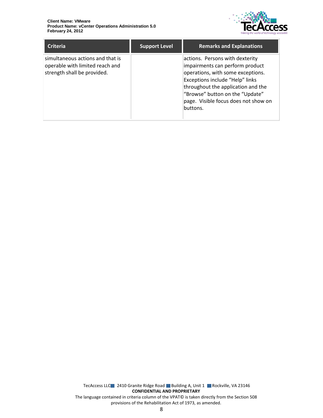

| <b>Criteria</b>                                                                                    | <b>Support Level</b> | <b>Remarks and Explanations</b>                                                                                                                                                                                                                                         |
|----------------------------------------------------------------------------------------------------|----------------------|-------------------------------------------------------------------------------------------------------------------------------------------------------------------------------------------------------------------------------------------------------------------------|
| simultaneous actions and that is<br>operable with limited reach and<br>strength shall be provided. |                      | actions. Persons with dexterity<br>impairments can perform product<br>operations, with some exceptions.<br>Exceptions include "Help" links<br>throughout the application and the<br>"Browse" button on the "Update"<br>page. Visible focus does not show on<br>buttons. |